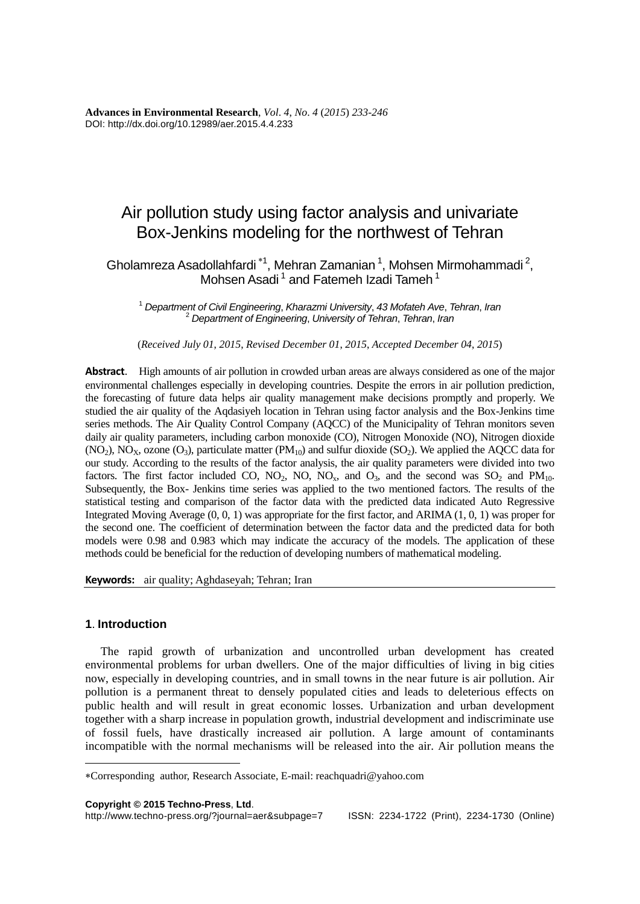**Advances in Environmental Research**, *Vol*. *4*, *No*. *4* (*2015*) *233*-*246* DOI: http://dx.doi.org/10.12989/aer.2015.4.4.233

# Air pollution study using factor analysis and univariate Box-Jenkins modeling for the northwest of Tehran

Gholamreza Asadollahfardi \*1, Mehran Zamanian 1, Mohsen Mirmohammadi  $^2$ , Mohsen Asadi<sup>1</sup> and Fatemeh Izadi Tameh<sup>1</sup>

<sup>1</sup> *Department of Civil Engineering*, *Kharazmi University*, *43 Mofateh Ave*, *Tehran*, *Iran* <sup>2</sup> *Department of Engineering*, *University of Tehran*, *Tehran*, *Iran*

(*Received July 01*, *2015*, *Revised December 01*, *2015*, *Accepted December 04*, *2015*)

**Abstract**. High amounts of air pollution in crowded urban areas are always considered as one of the major environmental challenges especially in developing countries. Despite the errors in air pollution prediction, the forecasting of future data helps air quality management make decisions promptly and properly. We studied the air quality of the Aqdasiyeh location in Tehran using factor analysis and the Box-Jenkins time series methods. The Air Quality Control Company (AQCC) of the Municipality of Tehran monitors seven daily air quality parameters, including carbon monoxide (CO), Nitrogen Monoxide (NO), Nitrogen dioxide  $(NO_2)$ , NO<sub>X</sub>, ozone  $(O_3)$ , particulate matter  $(PM_{10})$  and sulfur dioxide  $(SO_2)$ . We applied the AQCC data for our study. According to the results of the factor analysis, the air quality parameters were divided into two factors. The first factor included CO,  $NO_2$ ,  $NO_2$ ,  $NO_3$ ,  $NO_3$ , and the second was  $SO_2$  and  $PM_{10}$ . Subsequently, the Box- Jenkins time series was applied to the two mentioned factors. The results of the statistical testing and comparison of the factor data with the predicted data indicated Auto Regressive Integrated Moving Average (0, 0, 1) was appropriate for the first factor, and ARIMA (1, 0, 1) was proper for the second one. The coefficient of determination between the factor data and the predicted data for both models were 0.98 and 0.983 which may indicate the accuracy of the models. The application of these methods could be beneficial for the reduction of developing numbers of mathematical modeling.

**Keywords:** air quality; Aghdaseyah; Tehran; Iran

## **1**. **Introduction**

 $\overline{a}$ 

The rapid growth of urbanization and uncontrolled urban development has created environmental problems for urban dwellers. One of the major difficulties of living in big cities now, especially in developing countries, and in small towns in the near future is air pollution. Air pollution is a permanent threat to densely populated cities and leads to deleterious effects on public health and will result in great economic losses. Urbanization and urban development together with a sharp increase in population growth, industrial development and indiscriminate use of fossil fuels, have drastically increased air pollution. A large amount of contaminants incompatible with the normal mechanisms will be released into the air. Air pollution means the

**Copyright © 2015 Techno-Press**, **Ltd**.

http://www.techno-press.org/?journal=aer&subpage=7 ISSN: 2234-1722 (Print), 2234-1730 (Online)

Corresponding author, Research Associate, E-mail: reachquadri@yahoo.com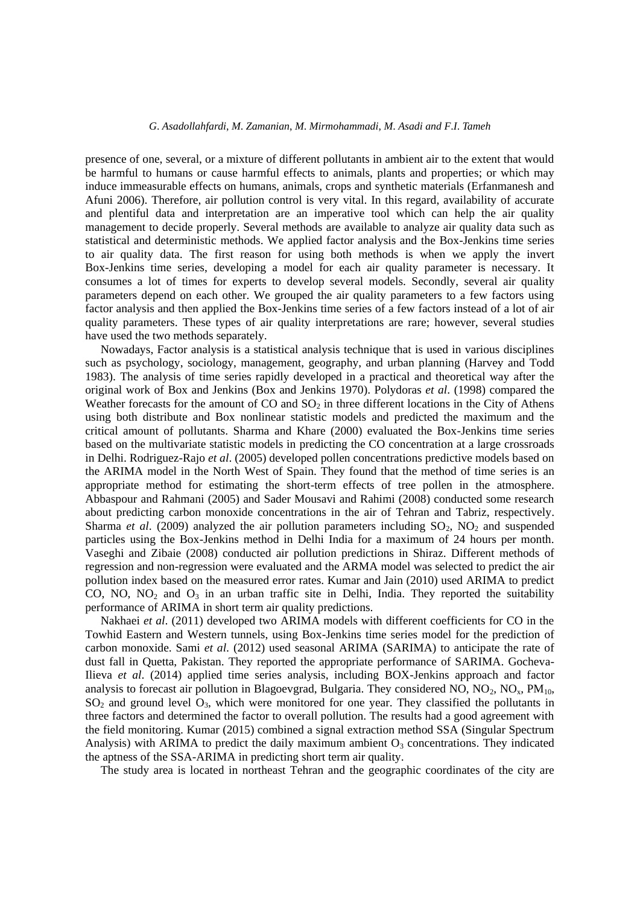presence of one, several, or a mixture of different pollutants in ambient air to the extent that would be harmful to humans or cause harmful effects to animals, plants and properties; or which may induce immeasurable effects on humans, animals, crops and synthetic materials (Erfanmanesh and Afuni 2006). Therefore, air pollution control is very vital. In this regard, availability of accurate and plentiful data and interpretation are an imperative tool which can help the air quality management to decide properly. Several methods are available to analyze air quality data such as statistical and deterministic methods. We applied factor analysis and the Box-Jenkins time series to air quality data. The first reason for using both methods is when we apply the invert Box-Jenkins time series, developing a model for each air quality parameter is necessary. It consumes a lot of times for experts to develop several models. Secondly, several air quality parameters depend on each other. We grouped the air quality parameters to a few factors using factor analysis and then applied the Box-Jenkins time series of a few factors instead of a lot of air quality parameters. These types of air quality interpretations are rare; however, several studies have used the two methods separately.

Nowadays, Factor analysis is a statistical analysis technique that is used in various disciplines such as psychology, sociology, management, geography, and urban planning (Harvey and Todd 1983). The analysis of time series rapidly developed in a practical and theoretical way after the original work of Box and Jenkins (Box and Jenkins 1970). Polydoras *et al*. (1998) compared the Weather forecasts for the amount of CO and  $SO<sub>2</sub>$  in three different locations in the City of Athens using both distribute and Box nonlinear statistic models and predicted the maximum and the critical amount of pollutants. Sharma and Khare (2000) evaluated the Box-Jenkins time series based on the multivariate statistic models in predicting the CO concentration at a large crossroads in Delhi. Rodriguez-Rajo *et al*. (2005) developed pollen concentrations predictive models based on the ARIMA model in the North West of Spain. They found that the method of time series is an appropriate method for estimating the short-term effects of tree pollen in the atmosphere. Abbaspour and Rahmani (2005) and Sader Mousavi and Rahimi (2008) conducted some research about predicting carbon monoxide concentrations in the air of Tehran and Tabriz, respectively. Sharma *et al.* (2009) analyzed the air pollution parameters including  $SO_2$ ,  $NO_2$  and suspended particles using the Box-Jenkins method in Delhi India for a maximum of 24 hours per month. Vaseghi and Zibaie (2008) conducted air pollution predictions in Shiraz. Different methods of regression and non-regression were evaluated and the ARMA model was selected to predict the air pollution index based on the measured error rates. Kumar and Jain (2010) used ARIMA to predict CO, NO, NO<sub>2</sub> and  $O_3$  in an urban traffic site in Delhi, India. They reported the suitability performance of ARIMA in short term air quality predictions.

Nakhaei *et al*. (2011) developed two ARIMA models with different coefficients for CO in the Towhid Eastern and Western tunnels, using Box-Jenkins time series model for the prediction of carbon monoxide. Sami *et al*. (2012) used seasonal ARIMA (SARIMA) to anticipate the rate of dust fall in Quetta, Pakistan. They reported the appropriate performance of SARIMA. Gocheva-Ilieva *et al*. (2014) applied time series analysis, including BOX-Jenkins approach and factor analysis to forecast air pollution in Blagoevgrad, Bulgaria. They considered NO,  $NO_2$ ,  $NO_x$ ,  $PM_{10}$ ,  $SO<sub>2</sub>$  and ground level  $O<sub>3</sub>$ , which were monitored for one year. They classified the pollutants in three factors and determined the factor to overall pollution. The results had a good agreement with the field monitoring. Kumar (2015) combined a signal extraction method SSA (Singular Spectrum Analysis) with ARIMA to predict the daily maximum ambient  $O_3$  concentrations. They indicated the aptness of the SSA-ARIMA in predicting short term air quality.

The study area is located in northeast Tehran and the geographic coordinates of the city are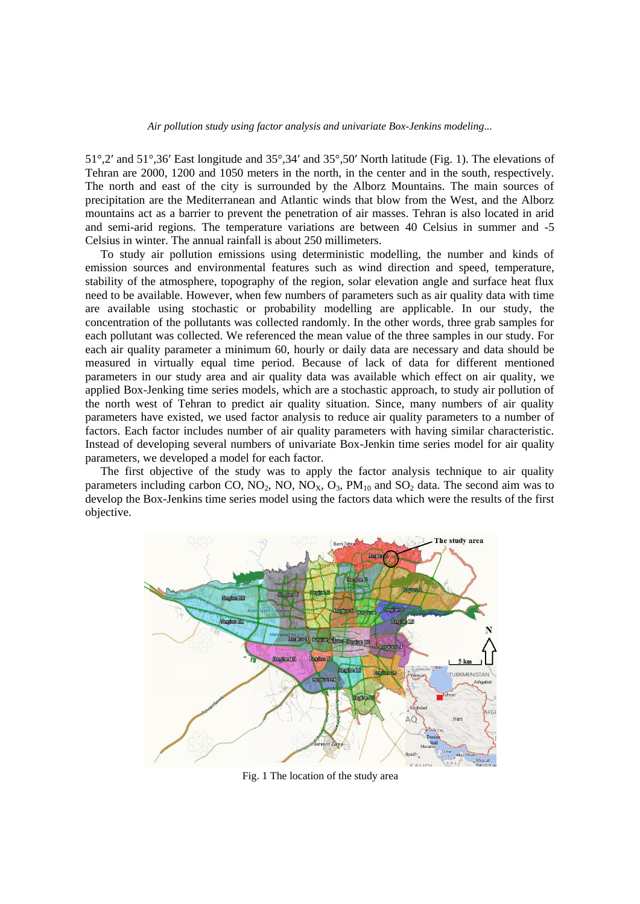51°,2′ and 51°,36′ East longitude and 35°,34′ and 35°,50′ North latitude (Fig. 1). The elevations of Tehran are 2000, 1200 and 1050 meters in the north, in the center and in the south, respectively. The north and east of the city is surrounded by the Alborz Mountains. The main sources of precipitation are the Mediterranean and Atlantic winds that blow from the West, and the Alborz mountains act as a barrier to prevent the penetration of air masses. Tehran is also located in arid and semi-arid regions. The temperature variations are between 40 Celsius in summer and -5 Celsius in winter. The annual rainfall is about 250 millimeters.

To study air pollution emissions using deterministic modelling, the number and kinds of emission sources and environmental features such as wind direction and speed, temperature, stability of the atmosphere, topography of the region, solar elevation angle and surface heat flux need to be available. However, when few numbers of parameters such as air quality data with time are available using stochastic or probability modelling are applicable. In our study, the concentration of the pollutants was collected randomly. In the other words, three grab samples for each pollutant was collected. We referenced the mean value of the three samples in our study. For each air quality parameter a minimum 60, hourly or daily data are necessary and data should be measured in virtually equal time period. Because of lack of data for different mentioned parameters in our study area and air quality data was available which effect on air quality, we applied Box-Jenking time series models, which are a stochastic approach, to study air pollution of the north west of Tehran to predict air quality situation. Since, many numbers of air quality parameters have existed, we used factor analysis to reduce air quality parameters to a number of factors. Each factor includes number of air quality parameters with having similar characteristic. Instead of developing several numbers of univariate Box-Jenkin time series model for air quality parameters, we developed a model for each factor.

The first objective of the study was to apply the factor analysis technique to air quality parameters including carbon CO,  $NO_2$ ,  $NO_2$ ,  $NO_3$ ,  $NO_3$ ,  $OM_{10}$  and  $SO_2$  data. The second aim was to develop the Box-Jenkins time series model using the factors data which were the results of the first objective.



Fig. 1 The location of the study area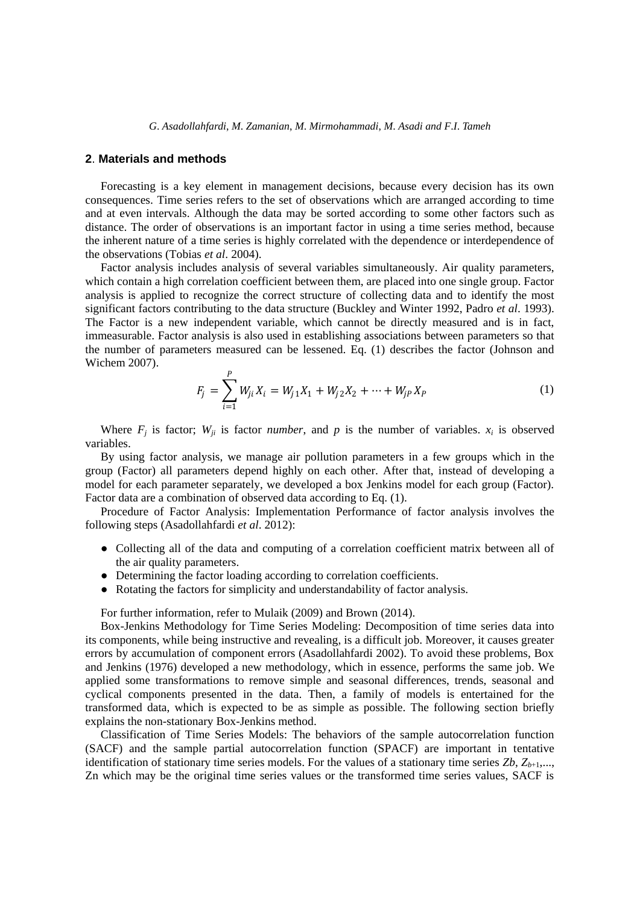# **2**. **Materials and methods**

Forecasting is a key element in management decisions, because every decision has its own consequences. Time series refers to the set of observations which are arranged according to time and at even intervals. Although the data may be sorted according to some other factors such as distance. The order of observations is an important factor in using a time series method, because the inherent nature of a time series is highly correlated with the dependence or interdependence of the observations (Tobias *et al*. 2004).

Factor analysis includes analysis of several variables simultaneously. Air quality parameters, which contain a high correlation coefficient between them, are placed into one single group. Factor analysis is applied to recognize the correct structure of collecting data and to identify the most significant factors contributing to the data structure (Buckley and Winter 1992, Padro *et al*. 1993). The Factor is a new independent variable, which cannot be directly measured and is in fact, immeasurable. Factor analysis is also used in establishing associations between parameters so that the number of parameters measured can be lessened. Eq. (1) describes the factor (Johnson and Wichem 2007).  $\overline{p}$ 

$$
F_j = \sum_{i=1}^{r} W_{ji} X_i = W_{j1} X_1 + W_{j2} X_2 + \dots + W_{jp} X_p
$$
 (1)

Where  $F_j$  is factor;  $W_{ji}$  is factor *number*, and  $p$  is the number of variables.  $x_i$  is observed variables.

By using factor analysis, we manage air pollution parameters in a few groups which in the group (Factor) all parameters depend highly on each other. After that, instead of developing a model for each parameter separately, we developed a box Jenkins model for each group (Factor). Factor data are a combination of observed data according to Eq. (1).

Procedure of Factor Analysis: Implementation Performance of factor analysis involves the following steps (Asadollahfardi *et al*. 2012):

- Collecting all of the data and computing of a correlation coefficient matrix between all of the air quality parameters.
- Determining the factor loading according to correlation coefficients.
- Rotating the factors for simplicity and understandability of factor analysis.

For further information, refer to Mulaik (2009) and Brown (2014).

Box-Jenkins Methodology for Time Series Modeling: Decomposition of time series data into its components, while being instructive and revealing, is a difficult job. Moreover, it causes greater errors by accumulation of component errors (Asadollahfardi 2002). To avoid these problems, Box and Jenkins (1976) developed a new methodology, which in essence, performs the same job. We applied some transformations to remove simple and seasonal differences, trends, seasonal and cyclical components presented in the data. Then, a family of models is entertained for the transformed data, which is expected to be as simple as possible. The following section briefly explains the non-stationary Box-Jenkins method.

Classification of Time Series Models: The behaviors of the sample autocorrelation function (SACF) and the sample partial autocorrelation function (SPACF) are important in tentative identification of stationary time series models. For the values of a stationary time series *Zb*, *Zb*+1,..., Zn which may be the original time series values or the transformed time series values, SACF is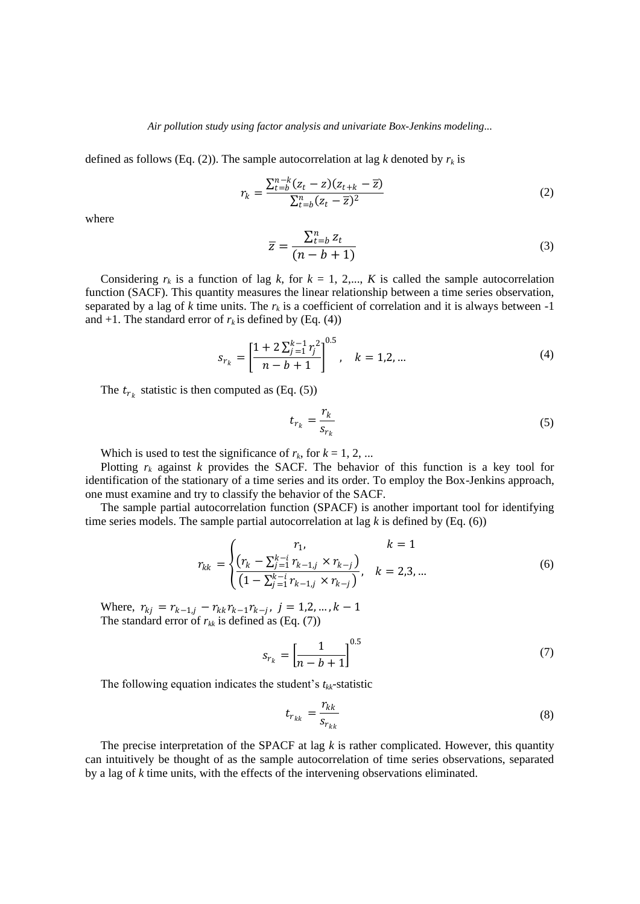defined as follows (Eq. (2)). The sample autocorrelation at lag *k* denoted by  $r_k$  is

$$
r_k = \frac{\sum_{t=b}^{n-k} (z_t - z)(z_{t+k} - \overline{z})}{\sum_{t=b}^{n} (z_t - \overline{z})^2}
$$
(2)

where

$$
\overline{z} = \frac{\sum_{t=b}^{n} z_t}{(n-b+1)}
$$
(3)

Considering  $r_k$  is a function of lag k, for  $k = 1, 2,..., K$  is called the sample autocorrelation function (SACF). This quantity measures the linear relationship between a time series observation, separated by a lag of *k* time units. The  $r_k$  is a coefficient of correlation and it is always between -1 and  $+1$ . The standard error of  $r_k$  is defined by (Eq. (4))

$$
s_{r_k} = \left[\frac{1+2\sum_{j=1}^{k-1} r_j^2}{n-b+1}\right]^{0.5}, \quad k = 1, 2, \dots
$$
 (4)

The  $t_{r_k}$  statistic is then computed as (Eq. (5))

$$
t_{r_k} = \frac{r_k}{s_{r_k}}\tag{5}
$$

Which is used to test the significance of  $r_k$ , for  $k = 1, 2, ...$ 

Plotting  $r_k$  against *k* provides the SACF. The behavior of this function is a key tool for identification of the stationary of a time series and its order. To employ the Box-Jenkins approach, one must examine and try to classify the behavior of the SACF.

The sample partial autocorrelation function (SPACF) is another important tool for identifying time series models. The sample partial autocorrelation at lag  $k$  is defined by (Eq. (6))

$$
r_{kk} = \begin{cases} r_1, & k = 1\\ \frac{(r_k - \sum_{j=1}^{k-i} r_{k-1,j} \times r_{k-j})}{(1 - \sum_{j=1}^{k-i} r_{k-1,j} \times r_{k-j})}, & k = 2,3, ... \end{cases}
$$
(6)

Where,  $r_{kj} = r_{k-1,j} - r_{kk} r_{k-1} r_{k-j}$ ,  $j = 1,2,..., k-1$ The standard error of  $r_{kk}$  is defined as (Eq. (7))

$$
s_{r_k} = \left[\frac{1}{n-b+1}\right]^{0.5} \tag{7}
$$

The following equation indicates the student's  $t_{kk}$ -statistic

$$
t_{r_{kk}} = \frac{r_{kk}}{s_{r_{kk}}} \tag{8}
$$

The precise interpretation of the SPACF at lag *k* is rather complicated. However, this quantity can intuitively be thought of as the sample autocorrelation of time series observations, separated by a lag of *k* time units, with the effects of the intervening observations eliminated.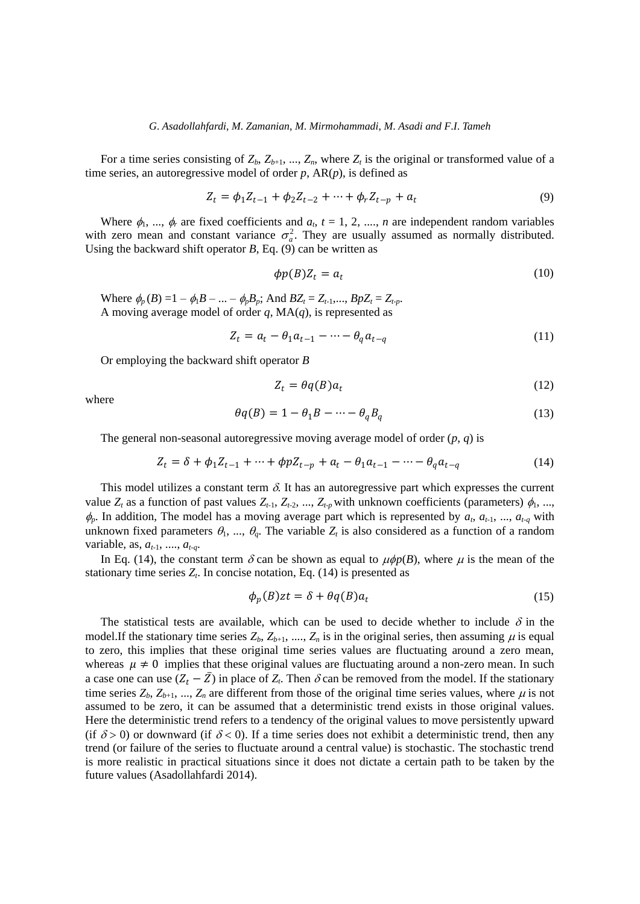For a time series consisting of  $Z_b$ ,  $Z_{b+1}$ , ...,  $Z_n$ , where  $Z_t$  is the original or transformed value of a time series, an autoregressive model of order *p*, AR(*p*), is defined as

$$
Z_t = \phi_1 Z_{t-1} + \phi_2 Z_{t-2} + \dots + \phi_r Z_{t-p} + a_t
$$
\n(9)

Where  $\phi_1$ , ...,  $\phi_r$  are fixed coefficients and  $a_t$ ,  $t = 1, 2, ..., n$  are independent random variables with zero mean and constant variance  $\sigma_a^2$ . They are usually assumed as normally distributed. Using the backward shift operator  $B$ , Eq. (9) can be written as

$$
\phi p(B)Z_t = a_t \tag{10}
$$

Where  $\phi_p(B) = 1 - \phi_1 B - ... - \phi_p B_p$ ; And  $BZ_t = Z_{t-1},..., BpZ_t = Z_{t-p}$ . A moving average model of order *q*, MA(*q*), is represented as

$$
Z_t = a_t - \theta_1 a_{t-1} - \dots - \theta_q a_{t-q}
$$
\n<sup>(11)</sup>

Or employing the backward shift operator *B*

$$
Z_t = \theta q(B) a_t \tag{12}
$$

where

$$
\theta q(B) = 1 - \theta_1 B - \dots - \theta_q B_q \tag{13}
$$

The general non-seasonal autoregressive moving average model of order (*p*, *q*) is

$$
Z_t = \delta + \phi_1 Z_{t-1} + \dots + \phi p Z_{t-p} + a_t - \theta_1 a_{t-1} - \dots - \theta_q a_{t-q}
$$
(14)

This model utilizes a constant term  $\delta$ . It has an autoregressive part which expresses the current value  $Z_t$  as a function of past values  $Z_{t-1}$ ,  $Z_{t-2}$ , ...,  $Z_{t-p}$  with unknown coefficients (parameters)  $\phi_1$ , ...,  $\phi_p$ . In addition, The model has a moving average part which is represented by  $a_t$ ,  $a_{t-1}$ , ...,  $a_{t-q}$  with unknown fixed parameters  $\theta_1$ , ...,  $\theta_a$ . The variable  $Z_t$  is also considered as a function of a random variable, as, *at*-1, ...., *at*-*q*.

In Eq. (14), the constant term  $\delta$  can be shown as equal to  $\mu\phi p(B)$ , where  $\mu$  is the mean of the stationary time series  $Z_t$ . In concise notation, Eq. (14) is presented as

$$
\phi_p(B)zt = \delta + \theta q(B)a_t \tag{15}
$$

The statistical tests are available, which can be used to decide whether to include  $\delta$  in the model.If the stationary time series  $Z_b$ ,  $Z_{b+1}$ , ...,  $Z_n$  is in the original series, then assuming  $\mu$  is equal to zero, this implies that these original time series values are fluctuating around a zero mean, whereas  $\mu \neq 0$  implies that these original values are fluctuating around a non-zero mean. In such a case one can use  $(Z_t - \bar{Z})$  in place of  $Z_t$ . Then  $\delta$  can be removed from the model. If the stationary time series  $Z_b$ ,  $Z_{b+1}$ , ...,  $Z_n$  are different from those of the original time series values, where  $\mu$  is not assumed to be zero, it can be assumed that a deterministic trend exists in those original values. Here the deterministic trend refers to a tendency of the original values to move persistently upward (if  $\delta$  > 0) or downward (if  $\delta$  < 0). If a time series does not exhibit a deterministic trend, then any trend (or failure of the series to fluctuate around a central value) is stochastic. The stochastic trend is more realistic in practical situations since it does not dictate a certain path to be taken by the future values (Asadollahfardi 2014).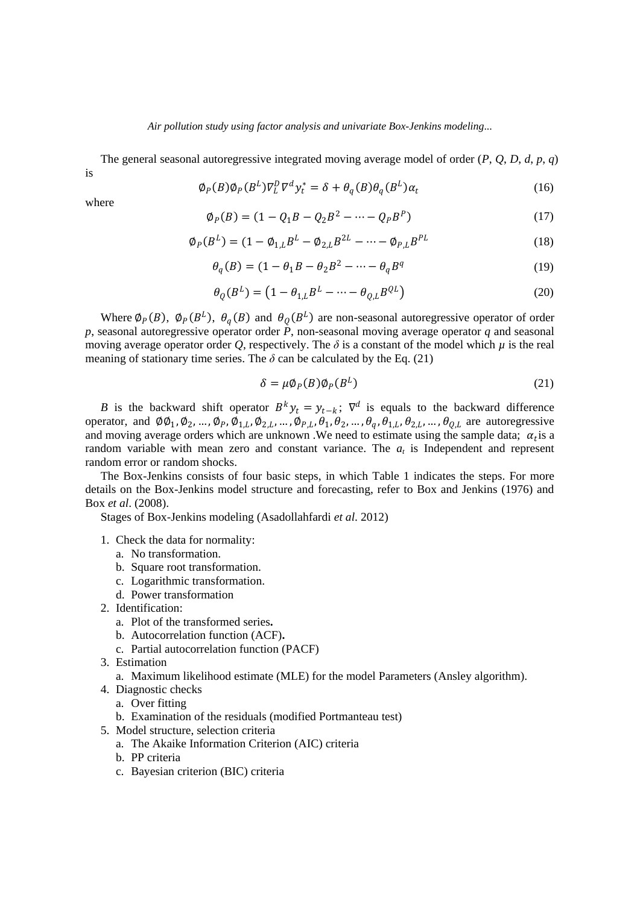The general seasonal autoregressive integrated moving average model of order (*P*, *Q*, *D*, *d*, *p*, *q*) is

$$
\phi_P(B)\phi_P(B^L)\nabla_L^D\nabla^d y_t^* = \delta + \theta_q(B)\theta_q(B^L)\alpha_t
$$
\n(16)

where

$$
\phi_P(B) = (1 - Q_1 B - Q_2 B^2 - \dots - Q_P B^P) \tag{17}
$$

$$
\phi_P(B^L) = (1 - \phi_{1,L}B^L - \phi_{2,L}B^{2L} - \dots - \phi_{P,L}B^{PL}
$$
\n(18)

$$
\theta_q(B) = (1 - \theta_1 B - \theta_2 B^2 - \dots - \theta_q B^q \tag{19}
$$

$$
\theta_Q(B^L) = \left(1 - \theta_{1,L}B^L - \dots - \theta_{Q,L}B^{QL}\right) \tag{20}
$$

Where  $\mathcal{O}_P(B)$ ,  $\mathcal{O}_P(B^L)$ ,  $\theta_q(B)$  and  $\theta_q(B^L)$  are non-seasonal autoregressive operator of order *p*, seasonal autoregressive operator order *P*, non-seasonal moving average operator *q* and seasonal moving average operator order Q, respectively. The  $\delta$  is a constant of the model which  $\mu$  is the real meaning of stationary time series. The  $\delta$  can be calculated by the Eq. (21)

$$
\delta = \mu \phi_P(B) \phi_P(B^L) \tag{21}
$$

*B* is the backward shift operator  $B^k y_t = y_{t-k}$ ;  $\nabla^d$  is equals to the backward difference operator, and  $\phi\phi_1, \phi_2, ..., \phi_p, \phi_{1,L}, \phi_{2,L}, ..., \phi_{p,L}, \theta_1, \theta_2, ..., \theta_q, \theta_{1,L}, \theta_{2,L}, ..., \theta_{Q,L}$  are autoregressive and moving average orders which are unknown. We need to estimate using the sample data;  $\alpha_t$  is a random variable with mean zero and constant variance. The *a<sup>t</sup>* is Independent and represent random error or random shocks.

The Box-Jenkins consists of four basic steps, in which Table 1 indicates the steps. For more details on the Box-Jenkins model structure and forecasting, refer to Box and Jenkins (1976) and Box *et al*. (2008).

Stages of Box-Jenkins modeling (Asadollahfardi *et al*. 2012)

- 1. Check the data for normality:
	- a. No transformation.
	- b. Square root transformation.
	- c. Logarithmic transformation.
	- d. Power transformation
- 2. Identification:
	- a. Plot of the transformed series**.**
	- b. Autocorrelation function (ACF)**.**
	- c. Partial autocorrelation function (PACF)
- 3. Estimation
	- a. Maximum likelihood estimate (MLE) for the model Parameters (Ansley algorithm).
- 4. Diagnostic checks
	- a. Over fitting
	- b. Examination of the residuals (modified Portmanteau test)
- 5. Model structure, selection criteria
	- a. The Akaike Information Criterion (AIC) criteria
	- b. PP criteria
	- c. Bayesian criterion (BIC) criteria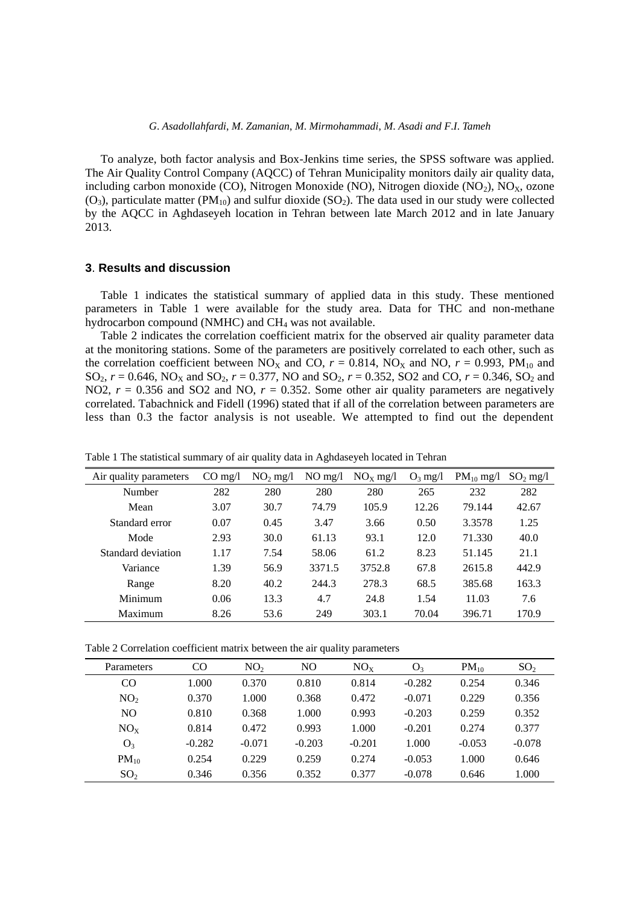To analyze, both factor analysis and Box-Jenkins time series, the SPSS software was applied. The Air Quality Control Company (AQCC) of Tehran Municipality monitors daily air quality data, including carbon monoxide (CO), Nitrogen Monoxide (NO), Nitrogen dioxide (NO<sub>2</sub>), NO<sub>x</sub>, ozone  $(O_3)$ , particulate matter (PM<sub>10</sub>) and sulfur dioxide (SO<sub>2</sub>). The data used in our study were collected by the AQCC in Aghdaseyeh location in Tehran between late March 2012 and in late January 2013.

## **3**. **Results and discussion**

Table 1 indicates the statistical summary of applied data in this study. These mentioned parameters in Table 1 were available for the study area. Data for THC and non-methane hydrocarbon compound (NMHC) and  $CH<sub>4</sub>$  was not available.

Table 2 indicates the correlation coefficient matrix for the observed air quality parameter data at the monitoring stations. Some of the parameters are positively correlated to each other, such as the correlation coefficient between NO<sub>X</sub> and CO,  $r = 0.814$ , NO<sub>X</sub> and NO,  $r = 0.993$ , PM<sub>10</sub> and  $SO_2$ ,  $r = 0.646$ ,  $NO_X$  and  $SO_2$ ,  $r = 0.377$ ,  $NO$  and  $SO_2$ ,  $r = 0.352$ ,  $SO_2$  and  $CO$ ,  $r = 0.346$ ,  $SO_2$  and NO2,  $r = 0.356$  and SO2 and NO,  $r = 0.352$ . Some other air quality parameters are negatively correlated. Tabachnick and Fidell (1996) stated that if all of the correlation between parameters are less than 0.3 the factor analysis is not useable. We attempted to find out the dependent

| Air quality parameters | $CO \,\mathrm{mg}/l$ | $NO2$ mg/l | $NO$ mg/l | $NOx$ mg/l | $O_3$ mg/l | $PM_{10}$ mg/l | $SO_2$ mg/l |
|------------------------|----------------------|------------|-----------|------------|------------|----------------|-------------|
| Number                 | 282                  | 280        | 280       | 280        | 265        | 232            | 282         |
| Mean                   | 3.07                 | 30.7       | 74.79     | 105.9      | 12.26      | 79.144         | 42.67       |
| Standard error         | 0.07                 | 0.45       | 3.47      | 3.66       | 0.50       | 3.3578         | 1.25        |
| Mode                   | 2.93                 | 30.0       | 61.13     | 93.1       | 12.0       | 71.330         | 40.0        |
| Standard deviation     | 1.17                 | 7.54       | 58.06     | 61.2       | 8.23       | 51.145         | 21.1        |
| Variance               | 1.39                 | 56.9       | 3371.5    | 3752.8     | 67.8       | 2615.8         | 442.9       |
| Range                  | 8.20                 | 40.2       | 244.3     | 278.3      | 68.5       | 385.68         | 163.3       |
| Minimum                | 0.06                 | 13.3       | 4.7       | 24.8       | 1.54       | 11.03          | 7.6         |
| Maximum                | 8.26                 | 53.6       | 249       | 303.1      | 70.04      | 396.71         | 170.9       |

Table 1 The statistical summary of air quality data in Aghdaseyeh located in Tehran

Table 2 Correlation coefficient matrix between the air quality parameters

| Parameters      | CO       | NO <sub>2</sub> | N <sub>O</sub> | NO <sub>X</sub> | $O_3$    | $PM_{10}$ | SO <sub>2</sub> |
|-----------------|----------|-----------------|----------------|-----------------|----------|-----------|-----------------|
| CO.             | 1.000    | 0.370           | 0.810          | 0.814           | $-0.282$ | 0.254     | 0.346           |
| NO <sub>2</sub> | 0.370    | 1.000           | 0.368          | 0.472           | $-0.071$ | 0.229     | 0.356           |
| N <sub>O</sub>  | 0.810    | 0.368           | 1.000          | 0.993           | $-0.203$ | 0.259     | 0.352           |
| NO <sub>x</sub> | 0.814    | 0.472           | 0.993          | 1.000           | $-0.201$ | 0.274     | 0.377           |
| $O_3$           | $-0.282$ | $-0.071$        | $-0.203$       | $-0.201$        | 1.000    | $-0.053$  | $-0.078$        |
| $PM_{10}$       | 0.254    | 0.229           | 0.259          | 0.274           | $-0.053$ | 1.000     | 0.646           |
| SO <sub>2</sub> | 0.346    | 0.356           | 0.352          | 0.377           | $-0.078$ | 0.646     | 1.000           |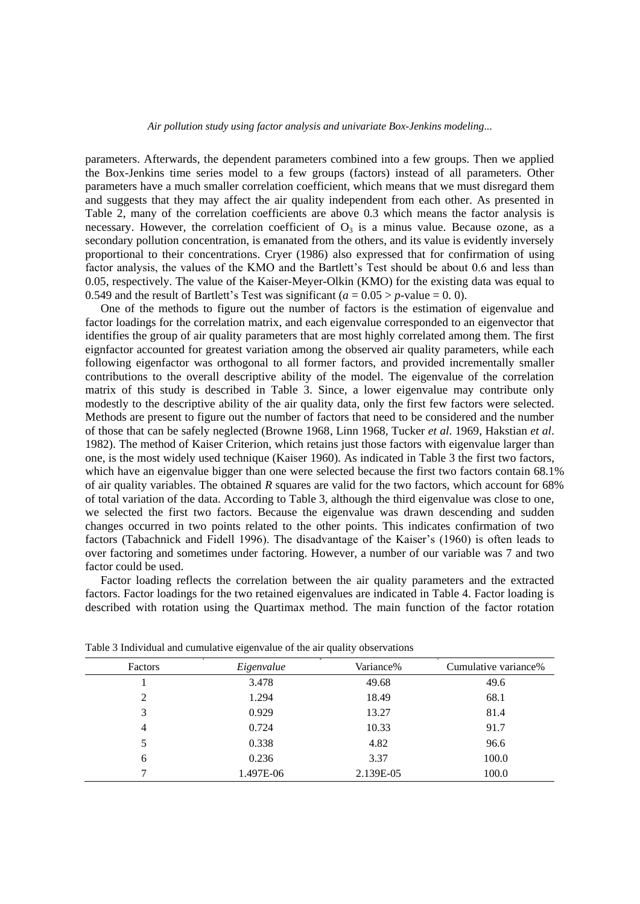parameters. Afterwards, the dependent parameters combined into a few groups. Then we applied the Box-Jenkins time series model to a few groups (factors) instead of all parameters. Other parameters have a much smaller correlation coefficient, which means that we must disregard them and suggests that they may affect the air quality independent from each other. As presented in Table 2, many of the correlation coefficients are above 0.3 which means the factor analysis is necessary. However, the correlation coefficient of  $O<sub>3</sub>$  is a minus value. Because ozone, as a secondary pollution concentration, is emanated from the others, and its value is evidently inversely proportional to their concentrations. Cryer (1986) also expressed that for confirmation of using factor analysis, the values of the KMO and the Bartlett's Test should be about 0.6 and less than 0.05, respectively. The value of the Kaiser-Meyer-Olkin (KMO) for the existing data was equal to 0.549 and the result of Bartlett's Test was significant  $(a = 0.05 > p$ -value = 0.0).

One of the methods to figure out the number of factors is the estimation of eigenvalue and factor loadings for the correlation matrix, and each eigenvalue corresponded to an eigenvector that identifies the group of air quality parameters that are most highly correlated among them. The first eignfactor accounted for greatest variation among the observed air quality parameters, while each following eigenfactor was orthogonal to all former factors, and provided incrementally smaller contributions to the overall descriptive ability of the model. The eigenvalue of the correlation matrix of this study is described in Table 3. Since, a lower eigenvalue may contribute only modestly to the descriptive ability of the air quality data, only the first few factors were selected. Methods are present to figure out the number of factors that need to be considered and the number of those that can be safely neglected (Browne 1968, Linn 1968, Tucker *et al*. 1969, Hakstian *et al*. 1982). The method of Kaiser Criterion, which retains just those factors with eigenvalue larger than one, is the most widely used technique (Kaiser 1960). As indicated in Table 3 the first two factors, which have an eigenvalue bigger than one were selected because the first two factors contain 68.1% of air quality variables. The obtained *R* squares are valid for the two factors, which account for 68% of total variation of the data. According to Table 3, although the third eigenvalue was close to one, we selected the first two factors. Because the eigenvalue was drawn descending and sudden changes occurred in two points related to the other points. This indicates confirmation of two factors (Tabachnick and Fidell 1996). The disadvantage of the Kaiser's (1960) is often leads to over factoring and sometimes under factoring. However, a number of our variable was 7 and two factor could be used.

Factor loading reflects the correlation between the air quality parameters and the extracted factors. Factor loadings for the two retained eigenvalues are indicated in Table 4. Factor loading is described with rotation using the Quartimax method. The main function of the factor rotation

| Factors | Eigenvalue | Variance% | Cumulative variance% |
|---------|------------|-----------|----------------------|
|         | 3.478      | 49.68     | 49.6                 |
| 2       | 1.294      | 18.49     | 68.1                 |
| 3       | 0.929      | 13.27     | 81.4                 |
| 4       | 0.724      | 10.33     | 91.7                 |
|         | 0.338      | 4.82      | 96.6                 |
| 6       | 0.236      | 3.37      | 100.0                |
|         | 1.497E-06  | 2.139E-05 | 100.0                |

Table 3 Individual and cumulative eigenvalue of the air quality observations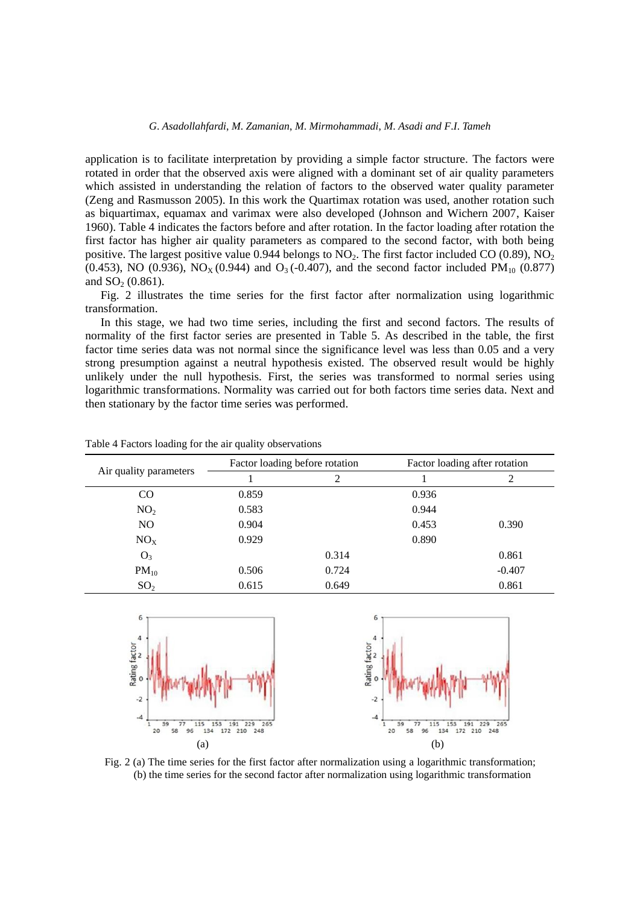application is to facilitate interpretation by providing a simple factor structure. The factors were rotated in order that the observed axis were aligned with a dominant set of air quality parameters which assisted in understanding the relation of factors to the observed water quality parameter (Zeng and Rasmusson 2005). In this work the Quartimax rotation was used, another rotation such as biquartimax, equamax and varimax were also developed (Johnson and Wichern 2007, Kaiser 1960). Table 4 indicates the factors before and after rotation. In the factor loading after rotation the first factor has higher air quality parameters as compared to the second factor, with both being positive. The largest positive value  $0.944$  belongs to  $NO<sub>2</sub>$ . The first factor included CO (0.89),  $NO<sub>2</sub>$ (0.453), NO (0.936), NO<sub>X</sub> (0.944) and O<sub>3</sub> (-0.407), and the second factor included PM<sub>10</sub> (0.877) and  $SO_2(0.861)$ .

Fig. 2 illustrates the time series for the first factor after normalization using logarithmic transformation.

In this stage, we had two time series, including the first and second factors. The results of normality of the first factor series are presented in Table 5. As described in the table, the first factor time series data was not normal since the significance level was less than 0.05 and a very strong presumption against a neutral hypothesis existed. The observed result would be highly unlikely under the null hypothesis. First, the series was transformed to normal series using logarithmic transformations. Normality was carried out for both factors time series data. Next and then stationary by the factor time series was performed.

|                        |       | Factor loading before rotation | Factor loading after rotation |          |  |  |
|------------------------|-------|--------------------------------|-------------------------------|----------|--|--|
| Air quality parameters |       | 2                              |                               |          |  |  |
| <sub>CO</sub>          | 0.859 |                                | 0.936                         |          |  |  |
| NO <sub>2</sub>        | 0.583 |                                | 0.944                         |          |  |  |
| NO.                    | 0.904 |                                | 0.453                         | 0.390    |  |  |
| NO <sub>X</sub>        | 0.929 |                                | 0.890                         |          |  |  |
| $O_3$                  |       | 0.314                          |                               | 0.861    |  |  |
| $PM_{10}$              | 0.506 | 0.724                          |                               | $-0.407$ |  |  |
| SO <sub>2</sub>        | 0.615 | 0.649                          |                               | 0.861    |  |  |

Table 4 Factors loading for the air quality observations



Fig. 2 (a) The time series for the first factor after normalization using a logarithmic transformation; (b) the time series for the second factor after normalization using logarithmic transformation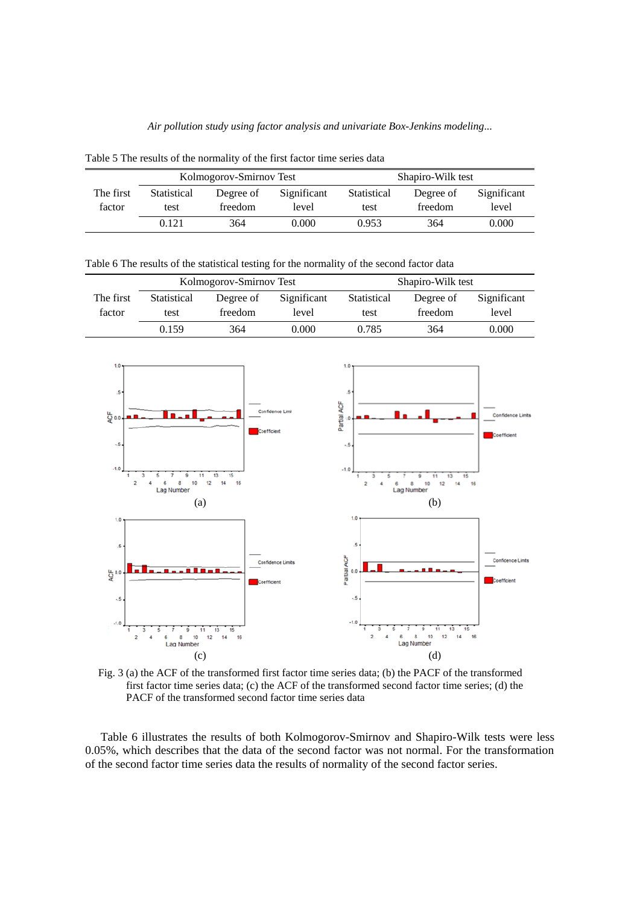*Air pollution study using factor analysis and univariate Box*-*Jenkins modeling*...

|  |  |  |  |  | Table 5 The results of the normality of the first factor time series data |  |  |  |  |  |  |
|--|--|--|--|--|---------------------------------------------------------------------------|--|--|--|--|--|--|
|--|--|--|--|--|---------------------------------------------------------------------------|--|--|--|--|--|--|

|           |             | Kolmogorov-Smirnov Test |             | Shapiro-Wilk test |           |             |  |
|-----------|-------------|-------------------------|-------------|-------------------|-----------|-------------|--|
| The first | Statistical | Degree of               | Significant | Statistical       | Degree of | Significant |  |
| factor    | test        | freedom                 | level       | test              | freedom   | level       |  |
|           | 0.121       | 364                     | 0.000       | 0.953             | 364       | 0.000       |  |

Table 6 The results of the statistical testing for the normality of the second factor data

|           |             | Kolmogorov-Smirnov Test |             | Shapiro-Wilk test |           |             |  |
|-----------|-------------|-------------------------|-------------|-------------------|-----------|-------------|--|
| The first | Statistical | Degree of               | Significant | Statistical       | Degree of | Significant |  |
| factor    | test        | freedom                 | level       | test              | freedom   | level       |  |
|           | 0.159       | 364                     | 0.000       | 0.785             | 364       | 0.000       |  |



Fig. 3 (a) the ACF of the transformed first factor time series data; (b) the PACF of the transformed first factor time series data; (c) the ACF of the transformed second factor time series; (d) the PACF of the transformed second factor time series data

Table 6 illustrates the results of both Kolmogorov-Smirnov and Shapiro-Wilk tests were less 0.05%, which describes that the data of the second factor was not normal. For the transformation of the second factor time series data the results of normality of the second factor series.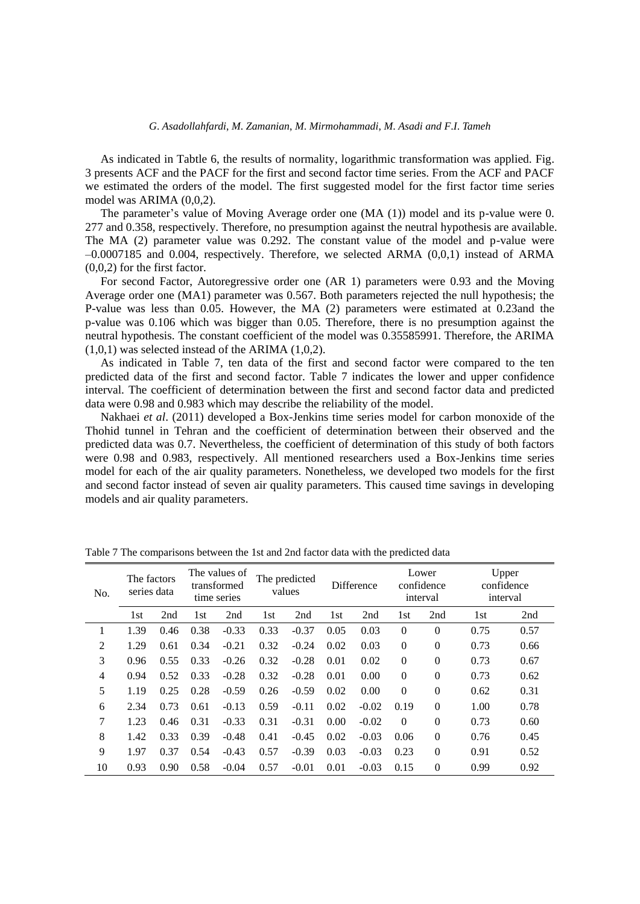As indicated in Tabtle 6, the results of normality, logarithmic transformation was applied. Fig. 3 presents ACF and the PACF for the first and second factor time series. From the ACF and PACF we estimated the orders of the model. The first suggested model for the first factor time series model was ARIMA (0,0,2).

The parameter's value of Moving Average order one (MA (1)) model and its p-value were 0. 277 and 0.358, respectively. Therefore, no presumption against the neutral hypothesis are available. The MA (2) parameter value was 0.292. The constant value of the model and p-value were –0.0007185 and 0.004, respectively. Therefore, we selected ARMA (0,0,1) instead of ARMA (0,0,2) for the first factor.

For second Factor, Autoregressive order one (AR 1) parameters were 0.93 and the Moving Average order one (MA1) parameter was 0.567. Both parameters rejected the null hypothesis; the P-value was less than 0.05. However, the MA (2) parameters were estimated at 0.23and the p-value was 0.106 which was bigger than 0.05. Therefore, there is no presumption against the neutral hypothesis. The constant coefficient of the model was 0.35585991. Therefore, the ARIMA  $(1,0,1)$  was selected instead of the ARIMA  $(1,0,2)$ .

As indicated in Table 7, ten data of the first and second factor were compared to the ten predicted data of the first and second factor. Table 7 indicates the lower and upper confidence interval. The coefficient of determination between the first and second factor data and predicted data were 0.98 and 0.983 which may describe the reliability of the model.

Nakhaei *et al*. (2011) developed a Box-Jenkins time series model for carbon monoxide of the Thohid tunnel in Tehran and the coefficient of determination between their observed and the predicted data was 0.7. Nevertheless, the coefficient of determination of this study of both factors were 0.98 and 0.983, respectively. All mentioned researchers used a Box-Jenkins time series model for each of the air quality parameters. Nonetheless, we developed two models for the first and second factor instead of seven air quality parameters. This caused time savings in developing models and air quality parameters.

| No.            | The factors<br>series data |      |      | The values of<br>transformed<br>time series | The predicted<br>values |         | <b>Difference</b> |         | Lower<br>confidence<br>interval |              | Upper<br>confidence<br>interval |      |
|----------------|----------------------------|------|------|---------------------------------------------|-------------------------|---------|-------------------|---------|---------------------------------|--------------|---------------------------------|------|
|                | 1st                        | 2nd  | 1st  | 2nd                                         | 1st                     | 2nd     | 1st               | 2nd     | 1st                             | 2nd          | 1st                             | 2nd  |
| 1              | 1.39                       | 0.46 | 0.38 | $-0.33$                                     | 0.33                    | $-0.37$ | 0.05              | 0.03    | $\Omega$                        | $\theta$     | 0.75                            | 0.57 |
| 2              | 1.29                       | 0.61 | 0.34 | $-0.21$                                     | 0.32                    | $-0.24$ | 0.02              | 0.03    | $\Omega$                        | $\mathbf{0}$ | 0.73                            | 0.66 |
| 3              | 0.96                       | 0.55 | 0.33 | $-0.26$                                     | 0.32                    | $-0.28$ | 0.01              | 0.02    | $\Omega$                        | $\mathbf{0}$ | 0.73                            | 0.67 |
| $\overline{4}$ | 0.94                       | 0.52 | 0.33 | $-0.28$                                     | 0.32                    | $-0.28$ | 0.01              | 0.00    | $\Omega$                        | $\mathbf{0}$ | 0.73                            | 0.62 |
| 5              | 1.19                       | 0.25 | 0.28 | $-0.59$                                     | 0.26                    | $-0.59$ | 0.02              | 0.00    | $\Omega$                        | $\mathbf{0}$ | 0.62                            | 0.31 |
| 6              | 2.34                       | 0.73 | 0.61 | $-0.13$                                     | 0.59                    | $-0.11$ | 0.02              | $-0.02$ | 0.19                            | $\mathbf{0}$ | 1.00                            | 0.78 |
| 7              | 1.23                       | 0.46 | 0.31 | $-0.33$                                     | 0.31                    | $-0.31$ | 0.00              | $-0.02$ | $\Omega$                        | $\mathbf{0}$ | 0.73                            | 0.60 |
| 8              | 1.42                       | 0.33 | 0.39 | $-0.48$                                     | 0.41                    | $-0.45$ | 0.02              | $-0.03$ | 0.06                            | $\mathbf{0}$ | 0.76                            | 0.45 |
| 9              | 1.97                       | 0.37 | 0.54 | $-0.43$                                     | 0.57                    | $-0.39$ | 0.03              | $-0.03$ | 0.23                            | $\mathbf{0}$ | 0.91                            | 0.52 |
| 10             | 0.93                       | 0.90 | 0.58 | $-0.04$                                     | 0.57                    | $-0.01$ | 0.01              | $-0.03$ | 0.15                            | $\Omega$     | 0.99                            | 0.92 |

Table 7 The comparisons between the 1st and 2nd factor data with the predicted data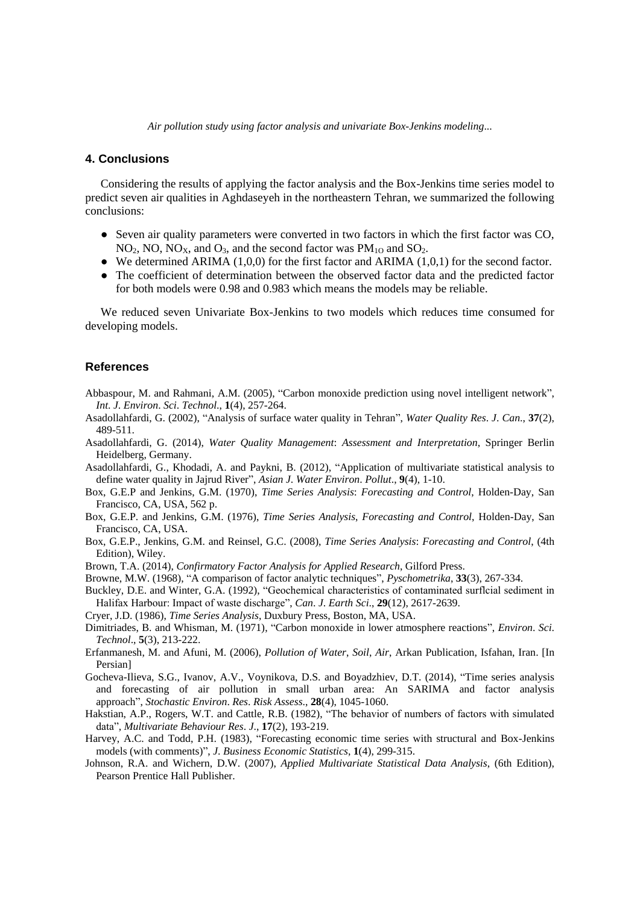# **4. Conclusions**

Considering the results of applying the factor analysis and the Box-Jenkins time series model to predict seven air qualities in Aghdaseyeh in the northeastern Tehran, we summarized the following conclusions:

- Seven air quality parameters were converted in two factors in which the first factor was CO,  $NO<sub>2</sub>$ , NO, NO<sub>X</sub>, and O<sub>3</sub>, and the second factor was  $PM<sub>10</sub>$  and SO<sub>2</sub>.
- We determined ARIMA  $(1,0,0)$  for the first factor and ARIMA  $(1,0,1)$  for the second factor.
- The coefficient of determination between the observed factor data and the predicted factor for both models were 0.98 and 0.983 which means the models may be reliable.

We reduced seven Univariate Box-Jenkins to two models which reduces time consumed for developing models.

# **References**

- Abbaspour, M. and Rahmani, A.M. (2005), "Carbon monoxide prediction using novel intelligent network", *Int*. *J*. *Environ*. *Sci*. *Technol*., **1**(4), 257-264.
- Asadollahfardi, G. (2002), "Analysis of surface water quality in Tehran", *Water Quality Res*. *J*. *Can*., **37**(2), 489-511.
- Asadollahfardi, G. (2014), *Water Quality Management*: *Assessment and Interpretation*, Springer Berlin Heidelberg, Germany.
- Asadollahfardi, G., Khodadi, A. and Paykni, B. (2012), "Application of multivariate statistical analysis to define water quality in Jajrud River", *Asian J*. *Water Environ*. *Pollut*., **9**(4), 1-10.
- Box, G.E.P and Jenkins, G.M. (1970), *Time Series Analysis*: *Forecasting and Control*, Holden-Day, San Francisco, CA, USA, 562 p.
- Box, G.E.P. and Jenkins, G.M. (1976), *Time Series Analysis*, *Forecasting and Control*, Holden-Day, San Francisco, CA, USA.
- Box, G.E.P., Jenkins, G.M. and Reinsel, G.C. (2008), *Time Series Analysis*: *Forecasting and Control*, (4th Edition), Wiley.
- Brown, T.A. (2014), *Confirmatory Factor Analysis for Applied Research*, Gilford Press.
- Browne, M.W. (1968), "A comparison of factor analytic techniques", *Pyschometrika*, **33**(3), 267-334.
- Buckley, D.E. and Winter, G.A. (1992), "Geochemical characteristics of contaminated surflcial sediment in Halifax Harbour: Impact of waste discharge", *Can*. *J*. *Earth Sci*., **29**(12), 2617-2639.
- Cryer, J.D. (1986), *Time Series Analysis*, Duxbury Press, Boston, MA, USA.
- Dimitriades, B. and Whisman, M. (1971), "Carbon monoxide in lower atmosphere reactions", *Environ*. *Sci*. *Technol*., **5**(3), 213-222.
- Erfanmanesh, M. and Afuni, M. (2006), *Pollution of Water*, *Soil*, *Air*, Arkan Publication, Isfahan, Iran. [In Persian]
- Gocheva-Ilieva, S.G., Ivanov, A.V., Voynikova, D.S. and Boyadzhiev, D.T. (2014), "Time series analysis and forecasting of air pollution in small urban area: An SARIMA and factor analysis approach", *Stochastic Environ*. *Res*. *Risk Assess*., **28**(4), 1045-1060.
- Hakstian, A.P., Rogers, W.T. and Cattle, R.B. (1982), "The behavior of numbers of factors with simulated data", *Multivariate Behaviour Res*. *J*., **17**(2), 193-219.
- Harvey, A.C. and Todd, P.H. (1983), "Forecasting economic time series with structural and Box-Jenkins models (with comments)", *J*. *Business Economic Statistics*, **1**(4), 299-315.
- Johnson, R.A. and Wichern, D.W. (2007), *Applied Multivariate Statistical Data Analysis*, (6th Edition), Pearson Prentice Hall Publisher.